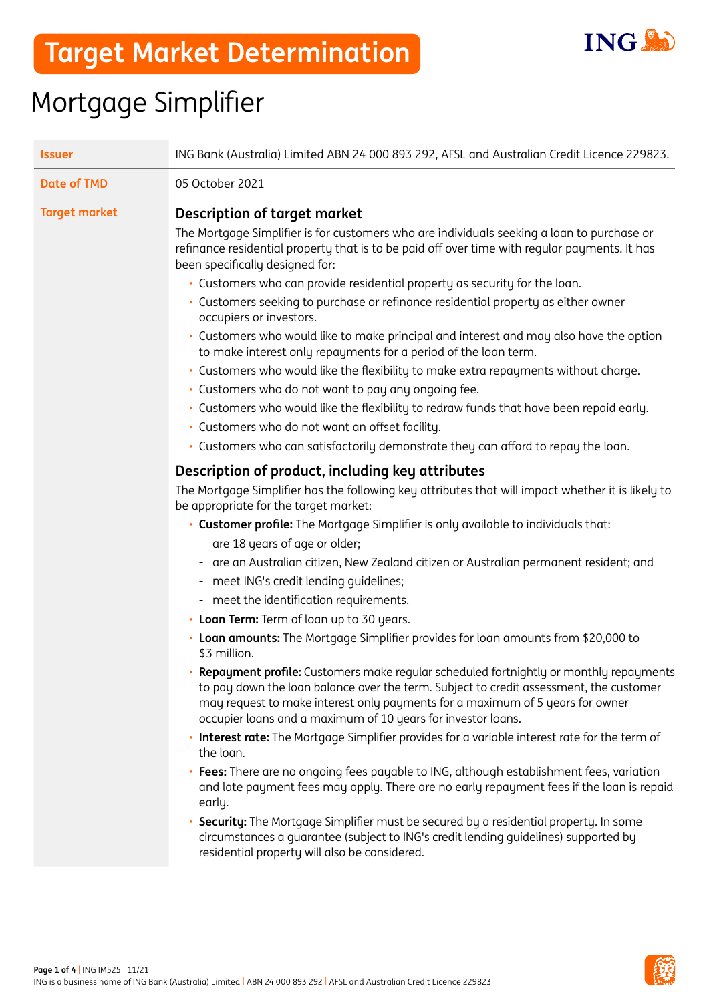

## Mortgage Simplifier

| <b>Issuer</b>        |                                                                                                                                                                                                                                                                                                                                                                                                                                                                                                                                                                                                                                                                                                                                                                                                                                                                                                                                                                                                                                                                                                                                                                                                                                                                                                                                                                                                                                                                                                                                                                                                                                                                                                                                                                                                                                                                                                                                                                                                                                                                                                                                                                                                                                                                                                                                                                                                                           |  |  |
|----------------------|---------------------------------------------------------------------------------------------------------------------------------------------------------------------------------------------------------------------------------------------------------------------------------------------------------------------------------------------------------------------------------------------------------------------------------------------------------------------------------------------------------------------------------------------------------------------------------------------------------------------------------------------------------------------------------------------------------------------------------------------------------------------------------------------------------------------------------------------------------------------------------------------------------------------------------------------------------------------------------------------------------------------------------------------------------------------------------------------------------------------------------------------------------------------------------------------------------------------------------------------------------------------------------------------------------------------------------------------------------------------------------------------------------------------------------------------------------------------------------------------------------------------------------------------------------------------------------------------------------------------------------------------------------------------------------------------------------------------------------------------------------------------------------------------------------------------------------------------------------------------------------------------------------------------------------------------------------------------------------------------------------------------------------------------------------------------------------------------------------------------------------------------------------------------------------------------------------------------------------------------------------------------------------------------------------------------------------------------------------------------------------------------------------------------------|--|--|
| <b>Date of TMD</b>   | 05 October 2021                                                                                                                                                                                                                                                                                                                                                                                                                                                                                                                                                                                                                                                                                                                                                                                                                                                                                                                                                                                                                                                                                                                                                                                                                                                                                                                                                                                                                                                                                                                                                                                                                                                                                                                                                                                                                                                                                                                                                                                                                                                                                                                                                                                                                                                                                                                                                                                                           |  |  |
| <b>Target market</b> | ING Bank (Australia) Limited ABN 24 000 893 292, AFSL and Australian Credit Licence 229823.<br><b>Description of target market</b><br>The Mortgage Simplifier is for customers who are individuals seeking a loan to purchase or<br>refinance residential property that is to be paid off over time with regular payments. It has<br>been specifically designed for:<br>· Customers who can provide residential property as security for the loan.<br>• Customers seeking to purchase or refinance residential property as either owner<br>occupiers or investors.<br>· Customers who would like to make principal and interest and may also have the option<br>to make interest only repayments for a period of the loan term.<br>· Customers who would like the flexibility to make extra repayments without charge.<br>· Customers who do not want to pay any ongoing fee.<br>· Customers who would like the flexibility to redraw funds that have been repaid early.<br>· Customers who do not want an offset facility.<br>. Customers who can satisfactorily demonstrate they can afford to repay the loan.<br>Description of product, including key attributes<br>The Mortgage Simplifier has the following key attributes that will impact whether it is likely to<br>be appropriate for the target market:<br>• Customer profile: The Mortgage Simplifier is only available to individuals that:<br>- are 18 years of age or older;<br>- are an Australian citizen, New Zealand citizen or Australian permanent resident; and<br>- meet ING's credit lending quidelines;<br>- meet the identification requirements.<br>• Loan Term: Term of loan up to 30 years.<br>• Loan amounts: The Mortgage Simplifier provides for loan amounts from \$20,000 to<br>\$3 million.<br>• Repayment profile: Customers make regular scheduled fortnightly or monthly repayments<br>to pay down the loan balance over the term. Subject to credit assessment, the customer<br>may request to make interest only payments for a maximum of 5 years for owner<br>occupier loans and a maximum of 10 years for investor loans.<br>. Interest rate: The Mortgage Simplifier provides for a variable interest rate for the term of<br>the loan.<br>Fees: There are no ongoing fees payable to ING, although establishment fees, variation<br>and late payment fees may apply. There are no early repayment fees if the loan is repaid |  |  |
|                      | early.<br>Security: The Mortgage Simplifier must be secured by a residential property. In some<br>circumstances a guarantee (subject to ING's credit lending guidelines) supported by<br>residential property will also be considered.                                                                                                                                                                                                                                                                                                                                                                                                                                                                                                                                                                                                                                                                                                                                                                                                                                                                                                                                                                                                                                                                                                                                                                                                                                                                                                                                                                                                                                                                                                                                                                                                                                                                                                                                                                                                                                                                                                                                                                                                                                                                                                                                                                                    |  |  |

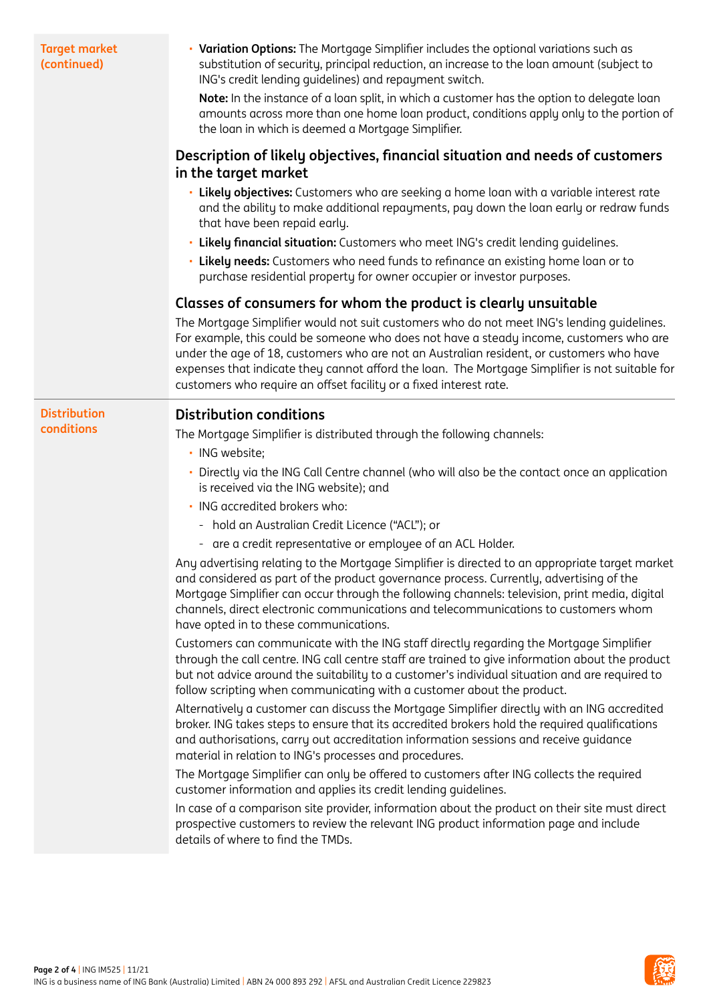| <b>Target market</b><br>(continued) | • Variation Options: The Mortgage Simplifier includes the optional variations such as<br>substitution of security, principal reduction, an increase to the loan amount (subject to<br>ING's credit lending quidelines) and repayment switch.<br>Note: In the instance of a loan split, in which a customer has the option to delegate loan<br>amounts across more than one home loan product, conditions apply only to the portion of<br>the loan in which is deemed a Mortgage Simplifier. |  |  |
|-------------------------------------|---------------------------------------------------------------------------------------------------------------------------------------------------------------------------------------------------------------------------------------------------------------------------------------------------------------------------------------------------------------------------------------------------------------------------------------------------------------------------------------------|--|--|
|                                     | Description of likely objectives, financial situation and needs of customers<br>in the target market                                                                                                                                                                                                                                                                                                                                                                                        |  |  |
|                                     | · Likely objectives: Customers who are seeking a home loan with a variable interest rate<br>and the ability to make additional repayments, pay down the loan early or redraw funds<br>that have been repaid early.                                                                                                                                                                                                                                                                          |  |  |
|                                     | . Likely financial situation: Customers who meet ING's credit lending guidelines.                                                                                                                                                                                                                                                                                                                                                                                                           |  |  |
|                                     | . Likely needs: Customers who need funds to refinance an existing home loan or to<br>purchase residential property for owner occupier or investor purposes.                                                                                                                                                                                                                                                                                                                                 |  |  |
|                                     | Classes of consumers for whom the product is clearly unsuitable                                                                                                                                                                                                                                                                                                                                                                                                                             |  |  |
|                                     | The Mortgage Simplifier would not suit customers who do not meet ING's lending guidelines.<br>For example, this could be someone who does not have a steady income, customers who are<br>under the age of 18, customers who are not an Australian resident, or customers who have<br>expenses that indicate they cannot afford the loan. The Mortgage Simplifier is not suitable for<br>customers who require an offset facility or a fixed interest rate.                                  |  |  |
| <b>Distribution</b>                 | <b>Distribution conditions</b>                                                                                                                                                                                                                                                                                                                                                                                                                                                              |  |  |
| conditions                          | The Mortgage Simplifier is distributed through the following channels:                                                                                                                                                                                                                                                                                                                                                                                                                      |  |  |
|                                     | · ING website;                                                                                                                                                                                                                                                                                                                                                                                                                                                                              |  |  |
|                                     | • Directly via the ING Call Centre channel (who will also be the contact once an application<br>is received via the ING website); and                                                                                                                                                                                                                                                                                                                                                       |  |  |
|                                     | · ING accredited brokers who:                                                                                                                                                                                                                                                                                                                                                                                                                                                               |  |  |
|                                     | - hold an Australian Credit Licence ("ACL"); or                                                                                                                                                                                                                                                                                                                                                                                                                                             |  |  |
|                                     | - are a credit representative or employee of an ACL Holder.                                                                                                                                                                                                                                                                                                                                                                                                                                 |  |  |
|                                     | Any advertising relating to the Mortgage Simplifier is directed to an appropriate target market<br>and considered as part of the product governance process. Currently, advertising of the<br>Mortgage Simplifier can occur through the following channels: television, print media, digital<br>channels, direct electronic communications and telecommunications to customers whom<br>have opted in to these communications.                                                               |  |  |
|                                     | Customers can communicate with the ING staff directly regarding the Mortgage Simplifier<br>through the call centre. ING call centre staff are trained to give information about the product<br>but not advice around the suitability to a customer's individual situation and are required to<br>follow scripting when communicating with a customer about the product.                                                                                                                     |  |  |
|                                     | Alternatively a customer can discuss the Mortgage Simplifier directly with an ING accredited<br>broker. ING takes steps to ensure that its accredited brokers hold the required qualifications<br>and authorisations, carry out accreditation information sessions and receive guidance<br>material in relation to ING's processes and procedures.                                                                                                                                          |  |  |
|                                     | The Mortgage Simplifier can only be offered to customers after ING collects the required<br>customer information and applies its credit lending guidelines.                                                                                                                                                                                                                                                                                                                                 |  |  |
|                                     | In case of a comparison site provider, information about the product on their site must direct<br>prospective customers to review the relevant ING product information page and include<br>details of where to find the TMDs.                                                                                                                                                                                                                                                               |  |  |

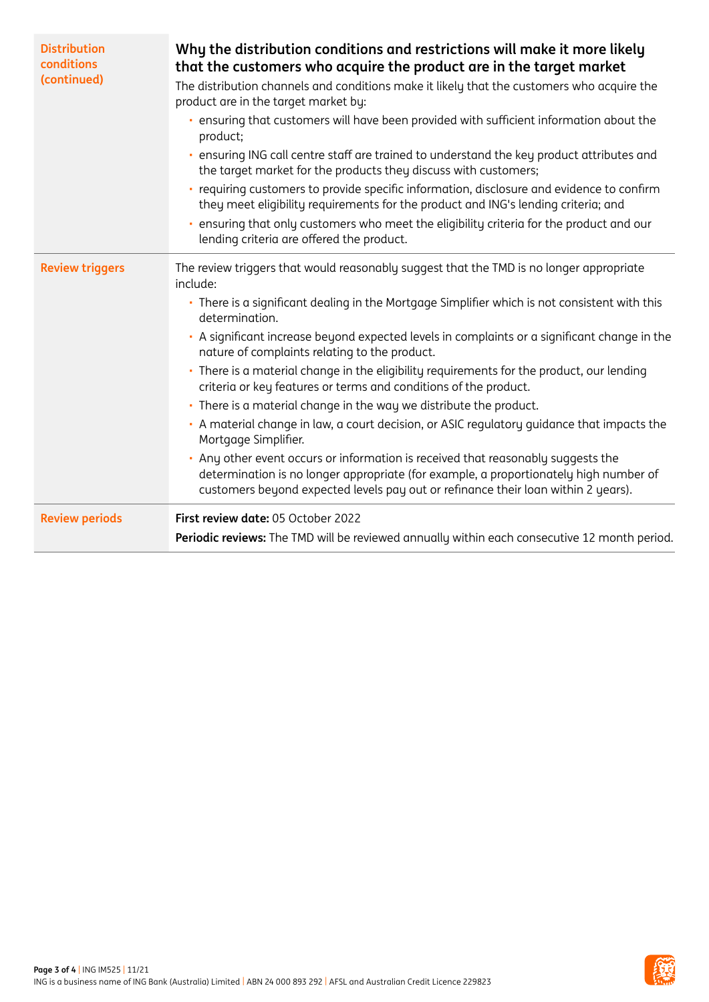| <b>Distribution</b><br>conditions<br>(continued) | Why the distribution conditions and restrictions will make it more likely<br>that the customers who acquire the product are in the target market<br>The distribution channels and conditions make it likely that the customers who acquire the<br>product are in the target market by:<br>ensuring that customers will have been provided with sufficient information about the<br>product;<br>ensuring ING call centre staff are trained to understand the key product attributes and<br>the target market for the products they discuss with customers;<br>requiring customers to provide specific information, disclosure and evidence to confirm<br>they meet eligibility requirements for the product and ING's lending criteria; and<br>ensuring that only customers who meet the eligibility criteria for the product and our<br>lending criteria are offered the product.                                                                                                                        |  |
|--------------------------------------------------|----------------------------------------------------------------------------------------------------------------------------------------------------------------------------------------------------------------------------------------------------------------------------------------------------------------------------------------------------------------------------------------------------------------------------------------------------------------------------------------------------------------------------------------------------------------------------------------------------------------------------------------------------------------------------------------------------------------------------------------------------------------------------------------------------------------------------------------------------------------------------------------------------------------------------------------------------------------------------------------------------------|--|
| <b>Review triggers</b>                           | The review triggers that would reasonably suggest that the TMD is no longer appropriate<br>include:<br>• There is a significant dealing in the Mortgage Simplifier which is not consistent with this<br>determination.<br>A significant increase beyond expected levels in complaints or a significant change in the<br>nature of complaints relating to the product.<br>· There is a material change in the eligibility requirements for the product, our lending<br>criteria or key features or terms and conditions of the product.<br>· There is a material change in the way we distribute the product.<br>• A material change in law, a court decision, or ASIC regulatory guidance that impacts the<br>Mortgage Simplifier.<br>Any other event occurs or information is received that reasonably suggests the<br>à,<br>determination is no longer appropriate (for example, a proportionately high number of<br>customers beyond expected levels pay out or refinance their loan within 2 years). |  |
| <b>Review periods</b>                            | First review date: 05 October 2022<br>Periodic reviews: The TMD will be reviewed annually within each consecutive 12 month period.                                                                                                                                                                                                                                                                                                                                                                                                                                                                                                                                                                                                                                                                                                                                                                                                                                                                       |  |